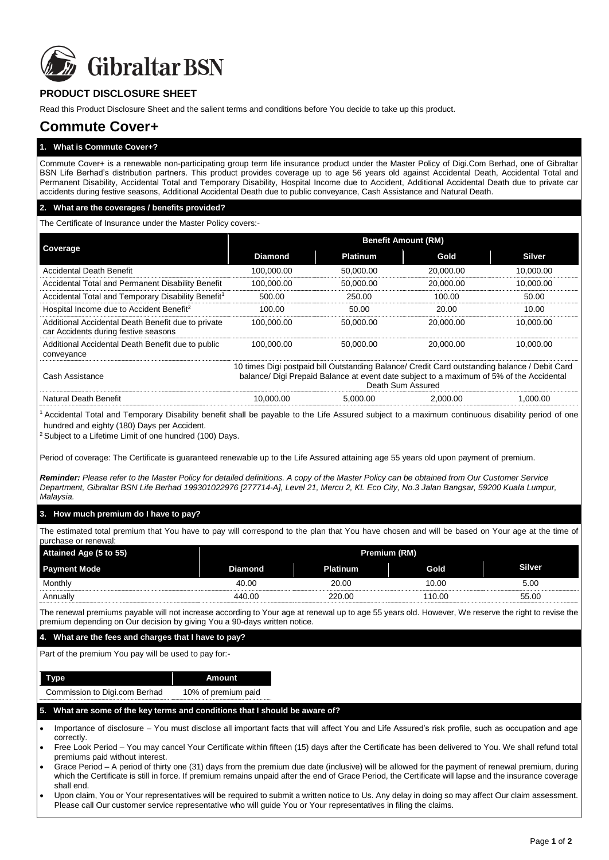

# **PRODUCT DISCLOSURE SHEET**

Read this Product Disclosure Sheet and the salient terms and conditions before You decide to take up this product.

# **Commute Cover+**

**1. What is Commute Cover+?**

Commute Cover+ is a renewable non-participating group term life insurance product under the Master Policy of Digi.Com Berhad, one of Gibraltar BSN Life Berhad's distribution partners. This product provides coverage up to age 56 years old against Accidental Death, Accidental Total and Permanent Disability, Accidental Total and Temporary Disability, Hospital Income due to Accident, Additional Accidental Death due to private car accidents during festive seasons, Additional Accidental Death due to public conveyance, Cash Assistance and Natural Death.

#### **2. What are the coverages / benefits provided?**

The Certificate of Insurance under the Master Policy covers:-

| Coverage                                                                                   | <b>Benefit Amount (RM)</b> |                 |           |               |
|--------------------------------------------------------------------------------------------|----------------------------|-----------------|-----------|---------------|
|                                                                                            | <b>Diamond</b>             | <b>Platinum</b> | Gold      | <b>Silver</b> |
| <b>Accidental Death Benefit</b>                                                            | 100,000.00                 | 50,000.00       | 20.000.00 | 10,000.00     |
| Accidental Total and Permanent Disability Benefit                                          | 100.000.00                 | 50,000.00       | 20,000.00 | 10,000.00     |
| Accidental Total and Temporary Disability Benefit <sup>1</sup>                             | 500.00                     | 250.00          | 100.00    | 50.00         |
| Hospital Income due to Accident Benefit <sup>2</sup>                                       | 100.00                     | 50.00           | 20.00     | 10.00         |
| Additional Accidental Death Benefit due to private<br>car Accidents during festive seasons | 100.000.00                 | 50.000.00       | 20,000,00 | 10.000.00     |
| Additional Accidental Death Benefit due to public<br>conveyance                            | 100.000.00                 | 50.000.00       | 20,000,00 | 10.000.00     |

| Cash Assistance       | 10 times Digi postpaid bill Outstanding Balance/ Credit Card outstanding balance / Debit Card<br>balance/ Digi Prepaid Balance at event date subject to a maximum of 5% of the Accidental<br>Death Sum Assured |          |          |         |
|-----------------------|----------------------------------------------------------------------------------------------------------------------------------------------------------------------------------------------------------------|----------|----------|---------|
| Natural Death Benefit | 10.000.00                                                                                                                                                                                                      | 5.000.00 | 2.000.00 | .000.00 |

<sup>1</sup>Accidental Total and Temporary Disability benefit shall be payable to the Life Assured subject to a maximum continuous disability period of one hundred and eighty (180) Days per Accident.

 $2$  Subject to a Lifetime Limit of one hundred (100) Days.

Period of coverage: The Certificate is guaranteed renewable up to the Life Assured attaining age 55 years old upon payment of premium.

*Reminder: Please refer to the Master Policy for detailed definitions. A copy of the Master Policy can be obtained from Our Customer Service Department, Gibraltar BSN Life Berhad 199301022976 [277714-A], Level 21, Mercu 2, KL Eco City, No.3 Jalan Bangsar, 59200 Kuala Lumpur, Malaysia.*

# **3. How much premium do I have to pay?**

The estimated total premium that You have to pay will correspond to the plan that You have chosen and will be based on Your age at the time of purchase or renewal:

| Attained Age (5 to 55) | Premium (RM)   |                 |        |               |
|------------------------|----------------|-----------------|--------|---------------|
| <b>Payment Mode</b>    | <b>Diamond</b> | <b>Platinum</b> | Gold   | <b>Silver</b> |
| Monthly                | 40.00          | 20.00           | 10.00  | 5.00          |
| Annually               | 440.00         | 220.00          | 110.00 | 55.00         |

The renewal premiums payable will not increase according to Your age at renewal up to age 55 years old. However, We reserve the right to revise the premium depending on Our decision by giving You a 90-days written notice.

#### **4. What are the fees and charges that I have to pay?**

Part of the premium You pay will be used to pay for:-

| Type                          | Amount              |
|-------------------------------|---------------------|
| Commission to Digi.com Berhad | 10% of premium paid |

#### **5. What are some of the key terms and conditions that I should be aware of?**

 Importance of disclosure – You must disclose all important facts that will affect You and Life Assured's risk profile, such as occupation and age **correctly** 

 Free Look Period – You may cancel Your Certificate within fifteen (15) days after the Certificate has been delivered to You. We shall refund total premiums paid without interest.

- Grace Period A period of thirty one (31) days from the premium due date (inclusive) will be allowed for the payment of renewal premium, during which the Certificate is still in force. If premium remains unpaid after the end of Grace Period, the Certificate will lapse and the insurance coverage shall end.
- Upon claim, You or Your representatives will be required to submit a written notice to Us. Any delay in doing so may affect Our claim assessment. Please call Our customer service representative who will guide You or Your representatives in filing the claims.